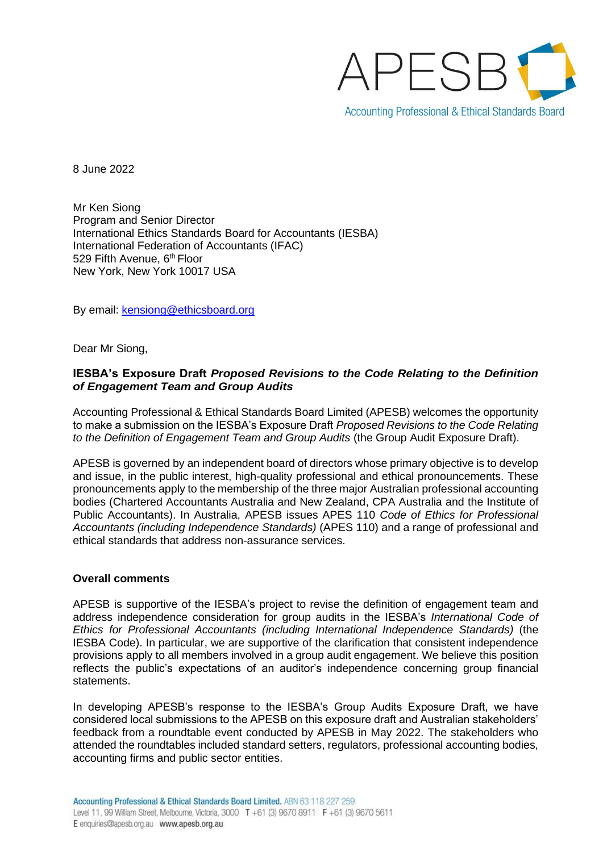

8 June 2022

Mr Ken Siong Program and Senior Director International Ethics Standards Board for Accountants (IESBA) International Federation of Accountants (IFAC) 529 Fifth Avenue, 6<sup>th</sup> Floor New York, New York 10017 USA

By email: [kensiong@ethicsboard.org](mailto:kensiong@ethicsboard.org)

Dear Mr Siong,

#### **IESBA's Exposure Draft** *Proposed Revisions to the Code Relating to the Definition of Engagement Team and Group Audits*

Accounting Professional & Ethical Standards Board Limited (APESB) welcomes the opportunity to make a submission on the IESBA's Exposure Draft *Proposed Revisions to the Code Relating to the Definition of Engagement Team and Group Audits* (the Group Audit Exposure Draft).

APESB is governed by an independent board of directors whose primary objective is to develop and issue, in the public interest, high-quality professional and ethical pronouncements. These pronouncements apply to the membership of the three major Australian professional accounting bodies (Chartered Accountants Australia and New Zealand, CPA Australia and the Institute of Public Accountants). In Australia, APESB issues APES 110 *Code of Ethics for Professional Accountants (including Independence Standards)* (APES 110) and a range of professional and ethical standards that address non-assurance services.

#### **Overall comments**

APESB is supportive of the IESBA's project to revise the definition of engagement team and address independence consideration for group audits in the IESBA's *International Code of Ethics for Professional Accountants (including International Independence Standards)* (the IESBA Code). In particular, we are supportive of the clarification that consistent independence provisions apply to all members involved in a group audit engagement. We believe this position reflects the public's expectations of an auditor's independence concerning group financial statements.

In developing APESB's response to the IESBA's Group Audits Exposure Draft, we have considered local submissions to the APESB on this exposure draft and Australian stakeholders' feedback from a roundtable event conducted by APESB in May 2022. The stakeholders who attended the roundtables included standard setters, regulators, professional accounting bodies, accounting firms and public sector entities.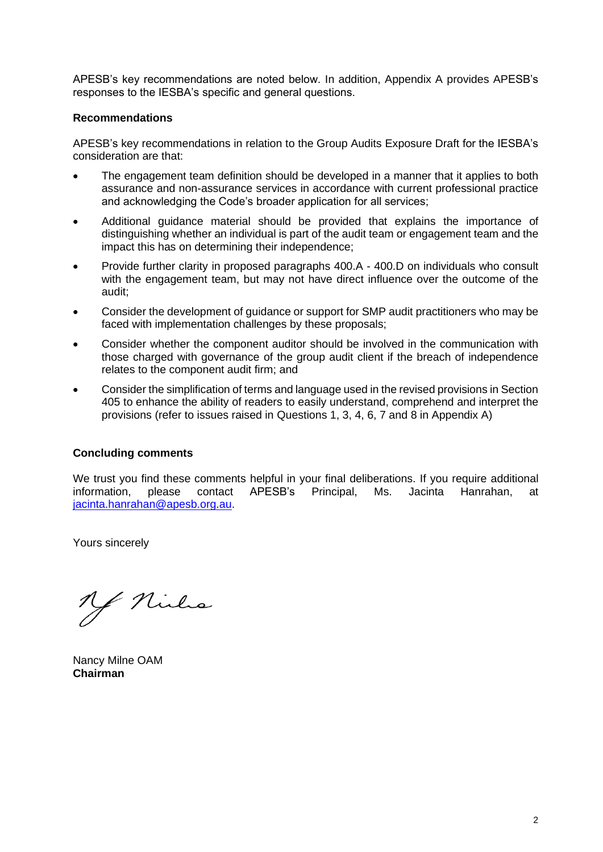APESB's key recommendations are noted below. In addition, Appendix A provides APESB's responses to the IESBA's specific and general questions.

#### **Recommendations**

APESB's key recommendations in relation to the Group Audits Exposure Draft for the IESBA's consideration are that:

- The engagement team definition should be developed in a manner that it applies to both assurance and non-assurance services in accordance with current professional practice and acknowledging the Code's broader application for all services;
- Additional guidance material should be provided that explains the importance of distinguishing whether an individual is part of the audit team or engagement team and the impact this has on determining their independence;
- Provide further clarity in proposed paragraphs 400.A 400.D on individuals who consult with the engagement team, but may not have direct influence over the outcome of the audit;
- Consider the development of guidance or support for SMP audit practitioners who may be faced with implementation challenges by these proposals;
- Consider whether the component auditor should be involved in the communication with those charged with governance of the group audit client if the breach of independence relates to the component audit firm; and
- Consider the simplification of terms and language used in the revised provisions in Section 405 to enhance the ability of readers to easily understand, comprehend and interpret the provisions (refer to issues raised in Questions 1, 3, 4, 6, 7 and 8 in Appendix A)

#### **Concluding comments**

We trust you find these comments helpful in your final deliberations. If you require additional information, please contact APESB's Principal, Ms. Jacinta Hanrahan, at [jacinta.hanrahan@apesb.org.au.](mailto:jacinta.hanrahan@apesb.org.au)

Yours sincerely

Y Niels

Nancy Milne OAM **Chairman**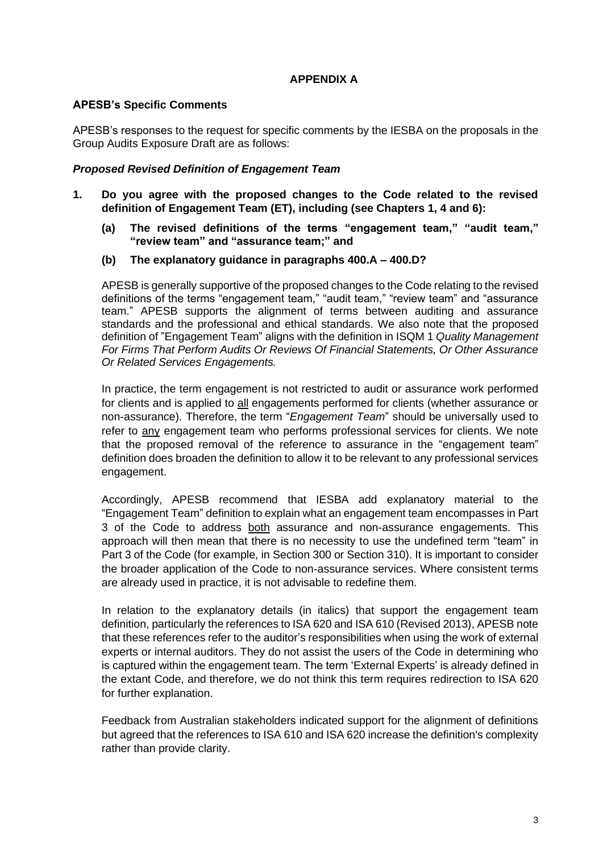## **APPENDIX A**

## **APESB's Specific Comments**

APESB's responses to the request for specific comments by the IESBA on the proposals in the Group Audits Exposure Draft are as follows:

## *Proposed Revised Definition of Engagement Team*

- **1. Do you agree with the proposed changes to the Code related to the revised definition of Engagement Team (ET), including (see Chapters 1, 4 and 6):**
	- **(a) The revised definitions of the terms "engagement team," "audit team," "review team" and "assurance team;" and**
	- **(b) The explanatory guidance in paragraphs 400.A – 400.D?**

APESB is generally supportive of the proposed changes to the Code relating to the revised definitions of the terms "engagement team," "audit team," "review team" and "assurance team." APESB supports the alignment of terms between auditing and assurance standards and the professional and ethical standards. We also note that the proposed definition of "Engagement Team" aligns with the definition in ISQM 1 *Quality Management For Firms That Perform Audits Or Reviews Of Financial Statements, Or Other Assurance Or Related Services Engagements.*

In practice, the term engagement is not restricted to audit or assurance work performed for clients and is applied to all engagements performed for clients (whether assurance or non-assurance). Therefore, the term "*Engagement Team*" should be universally used to refer to any engagement team who performs professional services for clients. We note that the proposed removal of the reference to assurance in the "engagement team" definition does broaden the definition to allow it to be relevant to any professional services engagement.

Accordingly, APESB recommend that IESBA add explanatory material to the "Engagement Team" definition to explain what an engagement team encompasses in Part 3 of the Code to address both assurance and non-assurance engagements. This approach will then mean that there is no necessity to use the undefined term "team" in Part 3 of the Code (for example, in Section 300 or Section 310). It is important to consider the broader application of the Code to non-assurance services. Where consistent terms are already used in practice, it is not advisable to redefine them.

In relation to the explanatory details (in italics) that support the engagement team definition, particularly the references to ISA 620 and ISA 610 (Revised 2013), APESB note that these references refer to the auditor's responsibilities when using the work of external experts or internal auditors. They do not assist the users of the Code in determining who is captured within the engagement team. The term 'External Experts' is already defined in the extant Code, and therefore, we do not think this term requires redirection to ISA 620 for further explanation.

Feedback from Australian stakeholders indicated support for the alignment of definitions but agreed that the references to ISA 610 and ISA 620 increase the definition's complexity rather than provide clarity.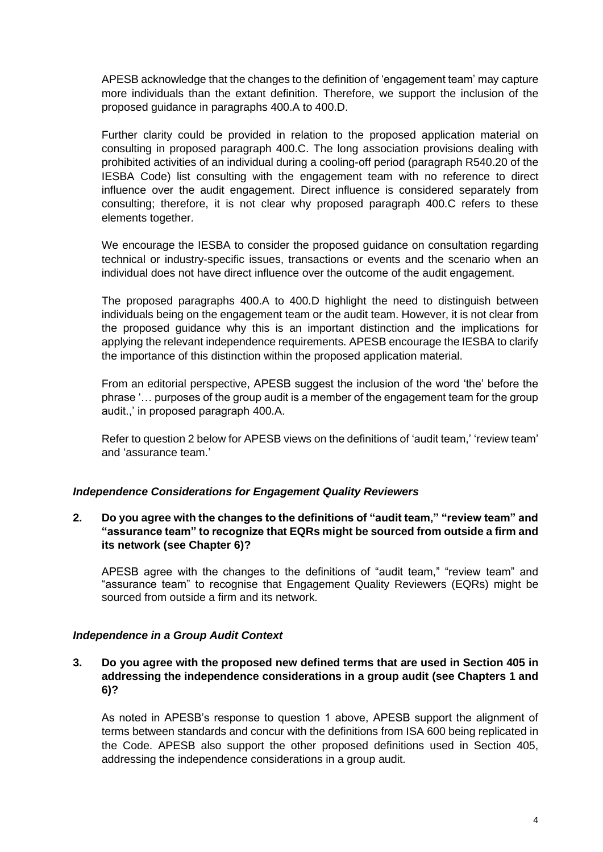APESB acknowledge that the changes to the definition of 'engagement team' may capture more individuals than the extant definition. Therefore, we support the inclusion of the proposed guidance in paragraphs 400.A to 400.D.

Further clarity could be provided in relation to the proposed application material on consulting in proposed paragraph 400.C. The long association provisions dealing with prohibited activities of an individual during a cooling-off period (paragraph R540.20 of the IESBA Code) list consulting with the engagement team with no reference to direct influence over the audit engagement. Direct influence is considered separately from consulting; therefore, it is not clear why proposed paragraph 400.C refers to these elements together.

We encourage the IESBA to consider the proposed guidance on consultation regarding technical or industry-specific issues, transactions or events and the scenario when an individual does not have direct influence over the outcome of the audit engagement.

The proposed paragraphs 400.A to 400.D highlight the need to distinguish between individuals being on the engagement team or the audit team. However, it is not clear from the proposed guidance why this is an important distinction and the implications for applying the relevant independence requirements. APESB encourage the IESBA to clarify the importance of this distinction within the proposed application material.

From an editorial perspective, APESB suggest the inclusion of the word 'the' before the phrase '… purposes of the group audit is a member of the engagement team for the group audit.,' in proposed paragraph 400.A.

Refer to question 2 below for APESB views on the definitions of 'audit team,' 'review team' and 'assurance team.'

#### *Independence Considerations for Engagement Quality Reviewers*

**2. Do you agree with the changes to the definitions of "audit team," "review team" and "assurance team" to recognize that EQRs might be sourced from outside a firm and its network (see Chapter 6)?**

APESB agree with the changes to the definitions of "audit team," "review team" and "assurance team" to recognise that Engagement Quality Reviewers (EQRs) might be sourced from outside a firm and its network.

#### *Independence in a Group Audit Context*

**3. Do you agree with the proposed new defined terms that are used in Section 405 in addressing the independence considerations in a group audit (see Chapters 1 and 6)?**

As noted in APESB's response to question 1 above, APESB support the alignment of terms between standards and concur with the definitions from ISA 600 being replicated in the Code. APESB also support the other proposed definitions used in Section 405, addressing the independence considerations in a group audit.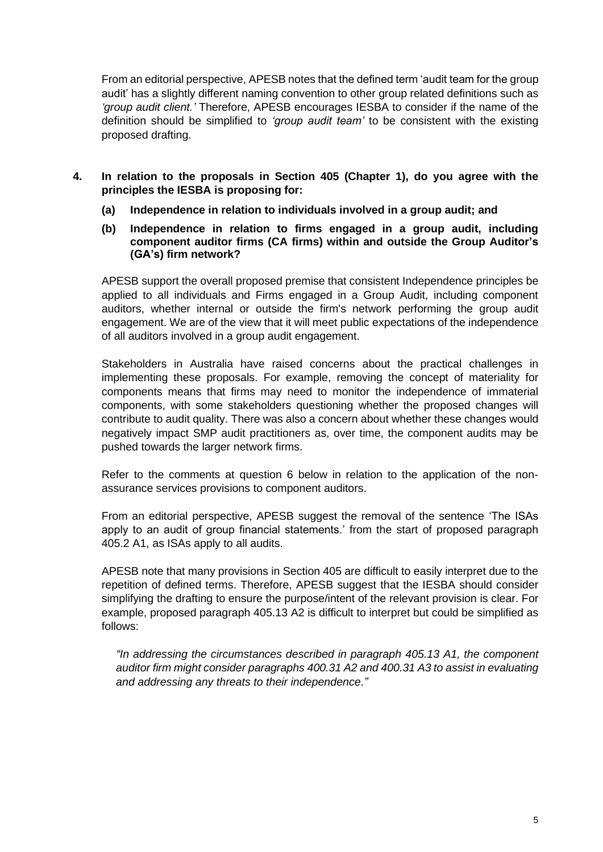From an editorial perspective, APESB notes that the defined term 'audit team for the group audit' has a slightly different naming convention to other group related definitions such as *'group audit client.'* Therefore, APESB encourages IESBA to consider if the name of the definition should be simplified to *'group audit team'* to be consistent with the existing proposed drafting.

- **4. In relation to the proposals in Section 405 (Chapter 1), do you agree with the principles the IESBA is proposing for:**
	- **(a) Independence in relation to individuals involved in a group audit; and**
	- **(b) Independence in relation to firms engaged in a group audit, including component auditor firms (CA firms) within and outside the Group Auditor's (GA's) firm network?**

APESB support the overall proposed premise that consistent Independence principles be applied to all individuals and Firms engaged in a Group Audit, including component auditors, whether internal or outside the firm's network performing the group audit engagement. We are of the view that it will meet public expectations of the independence of all auditors involved in a group audit engagement.

Stakeholders in Australia have raised concerns about the practical challenges in implementing these proposals. For example, removing the concept of materiality for components means that firms may need to monitor the independence of immaterial components, with some stakeholders questioning whether the proposed changes will contribute to audit quality. There was also a concern about whether these changes would negatively impact SMP audit practitioners as, over time, the component audits may be pushed towards the larger network firms.

Refer to the comments at question 6 below in relation to the application of the nonassurance services provisions to component auditors.

From an editorial perspective, APESB suggest the removal of the sentence 'The ISAs apply to an audit of group financial statements.' from the start of proposed paragraph 405.2 A1, as ISAs apply to all audits.

APESB note that many provisions in Section 405 are difficult to easily interpret due to the repetition of defined terms. Therefore, APESB suggest that the IESBA should consider simplifying the drafting to ensure the purpose/intent of the relevant provision is clear. For example, proposed paragraph 405.13 A2 is difficult to interpret but could be simplified as follows:

*"In addressing the circumstances described in paragraph 405.13 A1, the component auditor firm might consider paragraphs 400.31 A2 and 400.31 A3 to assist in evaluating and addressing any threats to their independence."*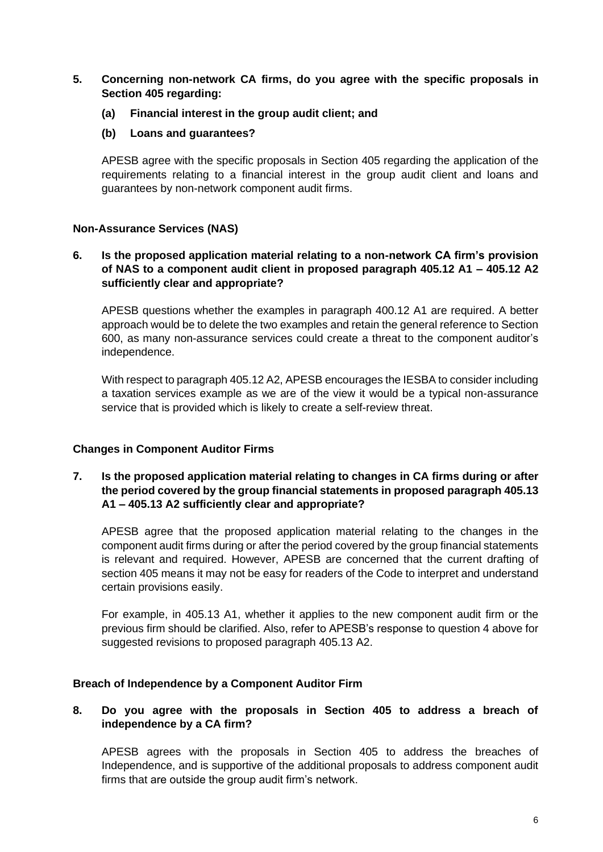- **5. Concerning non-network CA firms, do you agree with the specific proposals in Section 405 regarding:**
	- **(a) Financial interest in the group audit client; and**
	- **(b) Loans and guarantees?**

APESB agree with the specific proposals in Section 405 regarding the application of the requirements relating to a financial interest in the group audit client and loans and guarantees by non-network component audit firms.

## **Non-Assurance Services (NAS)**

### **6. Is the proposed application material relating to a non-network CA firm's provision of NAS to a component audit client in proposed paragraph 405.12 A1 – 405.12 A2 sufficiently clear and appropriate?**

APESB questions whether the examples in paragraph 400.12 A1 are required. A better approach would be to delete the two examples and retain the general reference to Section 600, as many non-assurance services could create a threat to the component auditor's independence.

With respect to paragraph 405.12 A2, APESB encourages the IESBA to consider including a taxation services example as we are of the view it would be a typical non-assurance service that is provided which is likely to create a self-review threat.

## **Changes in Component Auditor Firms**

## **7. Is the proposed application material relating to changes in CA firms during or after the period covered by the group financial statements in proposed paragraph 405.13 A1 – 405.13 A2 sufficiently clear and appropriate?**

APESB agree that the proposed application material relating to the changes in the component audit firms during or after the period covered by the group financial statements is relevant and required. However, APESB are concerned that the current drafting of section 405 means it may not be easy for readers of the Code to interpret and understand certain provisions easily.

For example, in 405.13 A1, whether it applies to the new component audit firm or the previous firm should be clarified. Also, refer to APESB's response to question 4 above for suggested revisions to proposed paragraph 405.13 A2.

#### **Breach of Independence by a Component Auditor Firm**

## **8. Do you agree with the proposals in Section 405 to address a breach of independence by a CA firm?**

APESB agrees with the proposals in Section 405 to address the breaches of Independence, and is supportive of the additional proposals to address component audit firms that are outside the group audit firm's network.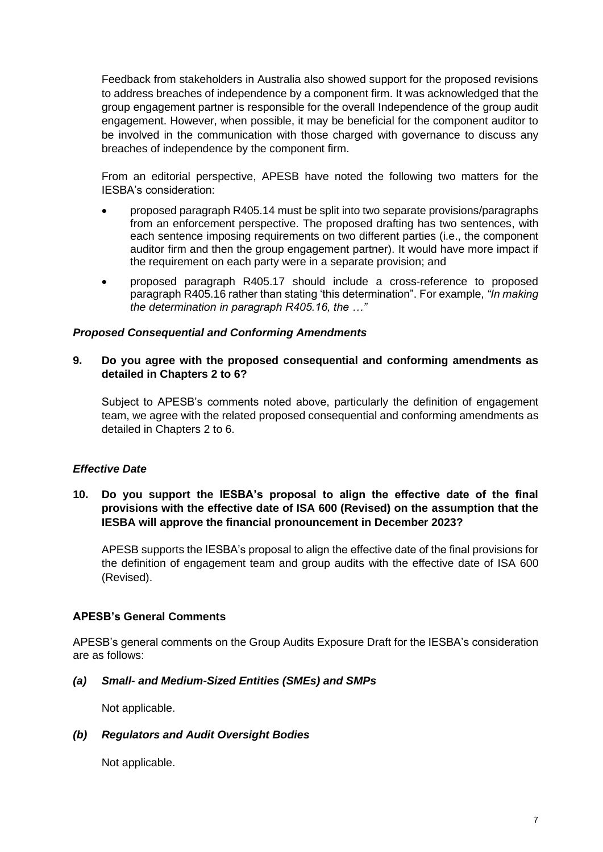Feedback from stakeholders in Australia also showed support for the proposed revisions to address breaches of independence by a component firm. It was acknowledged that the group engagement partner is responsible for the overall Independence of the group audit engagement. However, when possible, it may be beneficial for the component auditor to be involved in the communication with those charged with governance to discuss any breaches of independence by the component firm.

From an editorial perspective, APESB have noted the following two matters for the IESBA's consideration:

- proposed paragraph R405.14 must be split into two separate provisions/paragraphs from an enforcement perspective. The proposed drafting has two sentences, with each sentence imposing requirements on two different parties (i.e., the component auditor firm and then the group engagement partner). It would have more impact if the requirement on each party were in a separate provision; and
- proposed paragraph R405.17 should include a cross-reference to proposed paragraph R405.16 rather than stating 'this determination". For example, *"In making the determination in paragraph R405.16, the …"*

#### *Proposed Consequential and Conforming Amendments*

#### **9. Do you agree with the proposed consequential and conforming amendments as detailed in Chapters 2 to 6?**

Subject to APESB's comments noted above, particularly the definition of engagement team, we agree with the related proposed consequential and conforming amendments as detailed in Chapters 2 to 6.

#### *Effective Date*

## **10. Do you support the IESBA's proposal to align the effective date of the final provisions with the effective date of ISA 600 (Revised) on the assumption that the IESBA will approve the financial pronouncement in December 2023?**

APESB supports the IESBA's proposal to align the effective date of the final provisions for the definition of engagement team and group audits with the effective date of ISA 600 (Revised).

#### **APESB's General Comments**

APESB's general comments on the Group Audits Exposure Draft for the IESBA's consideration are as follows:

#### *(a) Small- and Medium-Sized Entities (SMEs) and SMPs*

Not applicable.

#### *(b) Regulators and Audit Oversight Bodies*

Not applicable.